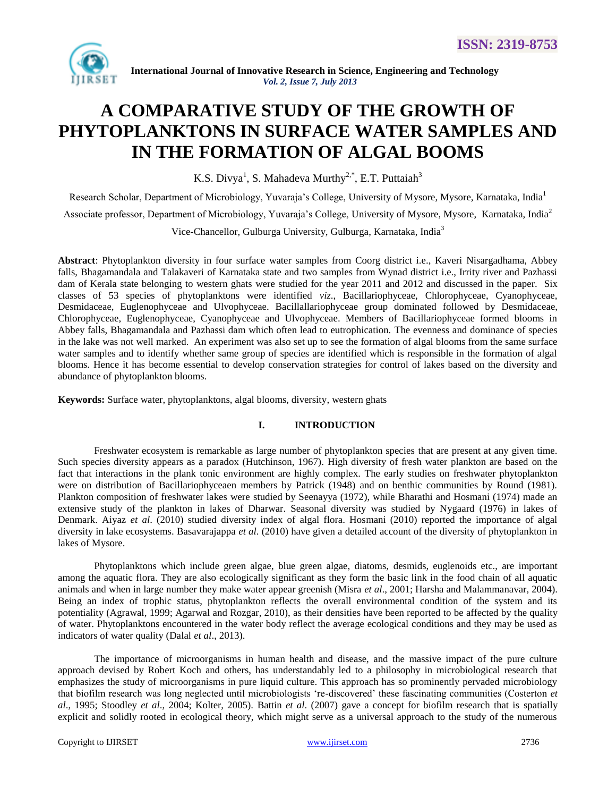

# **A COMPARATIVE STUDY OF THE GROWTH OF PHYTOPLANKTONS IN SURFACE WATER SAMPLES AND IN THE FORMATION OF ALGAL BOOMS**

K.S. Divya<sup>1</sup>, S. Mahadeva Murthy<sup>2,\*</sup>, E.T. Puttaiah<sup>3</sup>

Research Scholar, Department of Microbiology, Yuvaraja's College, University of Mysore, Mysore, Karnataka, India<sup>1</sup>

Associate professor, Department of Microbiology, Yuvaraja's College, University of Mysore, Mysore, Karnataka, India<sup>2</sup>

Vice-Chancellor, Gulburga University, Gulburga, Karnataka, India<sup>3</sup>

**Abstract**: Phytoplankton diversity in four surface water samples from Coorg district i.e., Kaveri Nisargadhama, Abbey falls, Bhagamandala and Talakaveri of Karnataka state and two samples from Wynad district i.e., Irrity river and Pazhassi dam of Kerala state belonging to western ghats were studied for the year 2011 and 2012 and discussed in the paper. Six classes of 53 species of phytoplanktons were identified *viz*., Bacillariophyceae, Chlorophyceae, Cyanophyceae, Desmidaceae, Euglenophyceae and Ulvophyceae. Bacillallariophyceae group dominated followed by Desmidaceae, Chlorophyceae, Euglenophyceae, Cyanophyceae and Ulvophyceae. Members of Bacillariophyceae formed blooms in Abbey falls, Bhagamandala and Pazhassi dam which often lead to eutrophication. The evenness and dominance of species in the lake was not well marked. An experiment was also set up to see the formation of algal blooms from the same surface water samples and to identify whether same group of species are identified which is responsible in the formation of algal blooms. Hence it has become essential to develop conservation strategies for control of lakes based on the diversity and abundance of phytoplankton blooms.

**Keywords:** Surface water, phytoplanktons, algal blooms, diversity, western ghats

## **I. INTRODUCTION**

Freshwater ecosystem is remarkable as large number of phytoplankton species that are present at any given time. Such species diversity appears as a paradox (Hutchinson, 1967). High diversity of fresh water plankton are based on the fact that interactions in the plank tonic environment are highly complex. The early studies on freshwater phytoplankton were on distribution of Bacillariophyceaen members by Patrick (1948) and on benthic communities by Round (1981). Plankton composition of freshwater lakes were studied by Seenayya (1972), while Bharathi and Hosmani (1974) made an extensive study of the plankton in lakes of Dharwar. Seasonal diversity was studied by Nygaard (1976) in lakes of Denmark. Aiyaz *et al*. (2010) studied diversity index of algal flora. Hosmani (2010) reported the importance of algal diversity in lake ecosystems. Basavarajappa *et al*. (2010) have given a detailed account of the diversity of phytoplankton in lakes of Mysore.

Phytoplanktons which include green algae, blue green algae, diatoms, desmids, euglenoids etc., are important among the aquatic flora. They are also ecologically significant as they form the basic link in the food chain of all aquatic animals and when in large number they make water appear greenish (Misra *et al*., 2001; Harsha and Malammanavar, 2004). Being an index of trophic status, phytoplankton reflects the overall environmental condition of the system and its potentiality (Agrawal, 1999; Agarwal and Rozgar, 2010), as their densities have been reported to be affected by the quality of water. Phytoplanktons encountered in the water body reflect the average ecological conditions and they may be used as indicators of water quality (Dalal *et al*., 2013).

The importance of microorganisms in human health and disease, and the massive impact of the pure culture approach devised by Robert Koch and others, has understandably led to a philosophy in microbiological research that emphasizes the study of microorganisms in pure liquid culture. This approach has so prominently pervaded microbiology that biofilm research was long neglected until microbiologists "re-discovered" these fascinating communities (Costerton *et al*., 1995; Stoodley *et al*., 2004; Kolter, 2005). Battin *et al*. (2007) gave a concept for biofilm research that is spatially explicit and solidly rooted in ecological theory, which might serve as a universal approach to the study of the numerous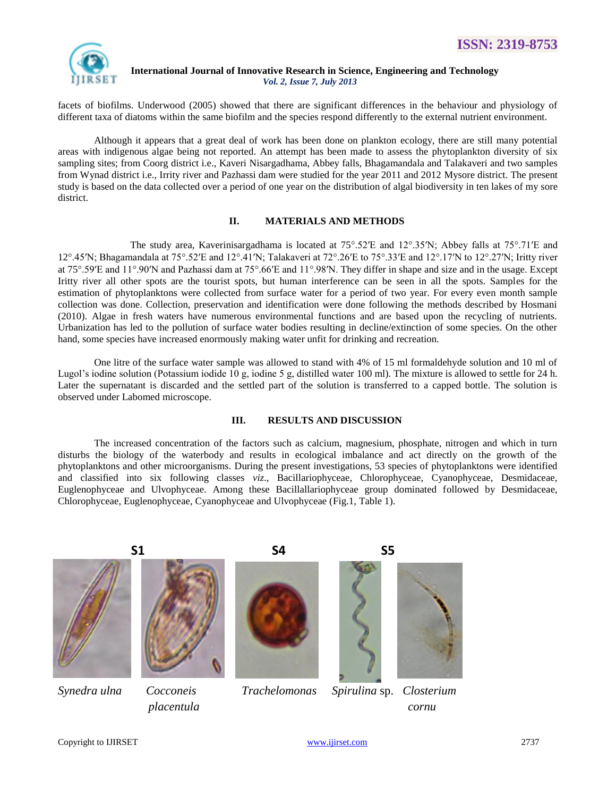

facets of biofilms. Underwood (2005) showed that there are significant differences in the behaviour and physiology of different taxa of diatoms within the same biofilm and the species respond differently to the external nutrient environment.

Although it appears that a great deal of work has been done on plankton ecology, there are still many potential areas with indigenous algae being not reported. An attempt has been made to assess the phytoplankton diversity of six sampling sites; from Coorg district i.e., Kaveri Nisargadhama, Abbey falls, Bhagamandala and Talakaveri and two samples from Wynad district i.e., Irrity river and Pazhassi dam were studied for the year 2011 and 2012 Mysore district. The present study is based on the data collected over a period of one year on the distribution of algal biodiversity in ten lakes of my sore district.

# **II. MATERIALS AND METHODS**

The study area, Kaverinisargadhama is located at  $75^{\circ}$ .52′E and  $12^{\circ}$ .35′N; Abbey falls at  $75^{\circ}$ .71′E and 12°.45′N; Bhagamandala at 75°.52′E and 12°.41′N; Talakaveri at 72°.26′E to 75°.33′E and 12°.17′N to 12°.27′N; Iritty river at 75°.59′E and 11°.90′N and Pazhassi dam at 75°.66′E and 11°.98′N. They differ in shape and size and in the usage. Except Iritty river all other spots are the tourist spots, but human interference can be seen in all the spots. Samples for the estimation of phytoplanktons were collected from surface water for a period of two year. For every even month sample collection was done. Collection, preservation and identification were done following the methods described by Hosmani (2010). Algae in fresh waters have numerous environmental functions and are based upon the recycling of nutrients. Urbanization has led to the pollution of surface water bodies resulting in decline/extinction of some species. On the other hand, some species have increased enormously making water unfit for drinking and recreation.

One litre of the surface water sample was allowed to stand with 4% of 15 ml formaldehyde solution and 10 ml of Lugol's iodine solution (Potassium iodide 10 g, iodine 5 g, distilled water 100 ml). The mixture is allowed to settle for 24 h. Later the supernatant is discarded and the settled part of the solution is transferred to a capped bottle. The solution is observed under Labomed microscope.

## **III. RESULTS AND DISCUSSION**

The increased concentration of the factors such as calcium, magnesium, phosphate, nitrogen and which in turn disturbs the biology of the waterbody and results in ecological imbalance and act directly on the growth of the phytoplanktons and other microorganisms. During the present investigations, 53 species of phytoplanktons were identified and classified into six following classes *viz*., Bacillariophyceae, Chlorophyceae, Cyanophyceae, Desmidaceae, Euglenophyceae and Ulvophyceae. Among these Bacillallariophyceae group dominated followed by Desmidaceae, Chlorophyceae, Euglenophyceae, Cyanophyceae and Ulvophyceae (Fig.1, Table 1).









*Synedra ulna Cocconeis Trachelomonas Spirulina* sp. *Closterium placentula cornu*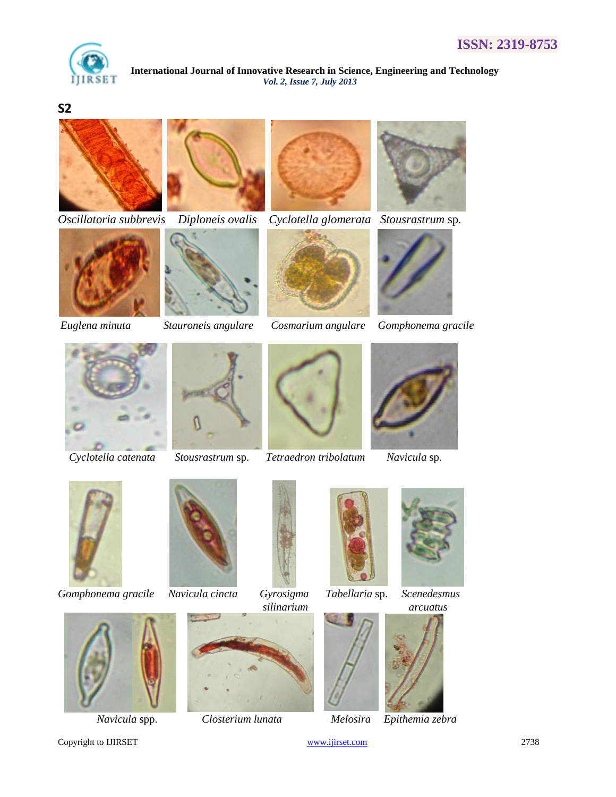

# **S2**



*Oscillatoria subbrevis Diploneis ovalis Cyclotella glomerata Stousrastrum* sp*.*













*Euglena minuta Stauroneis angulare Cosmarium angulare Gomphonema gracile*







 *Cyclotella catenata Stousrastrum* sp. *Tetraedron tribolatum Navicula* sp.





*Gomphonema gracile Navicula cincta Gyrosigma Tabellaria* sp. *Scenedesmus* 









 *Navicula* spp. *Closterium lunata Melosira Epithemia zebra*



Copyright to IJIRSET [www.ijirset.com](http://www.ijirset.com/) 2738











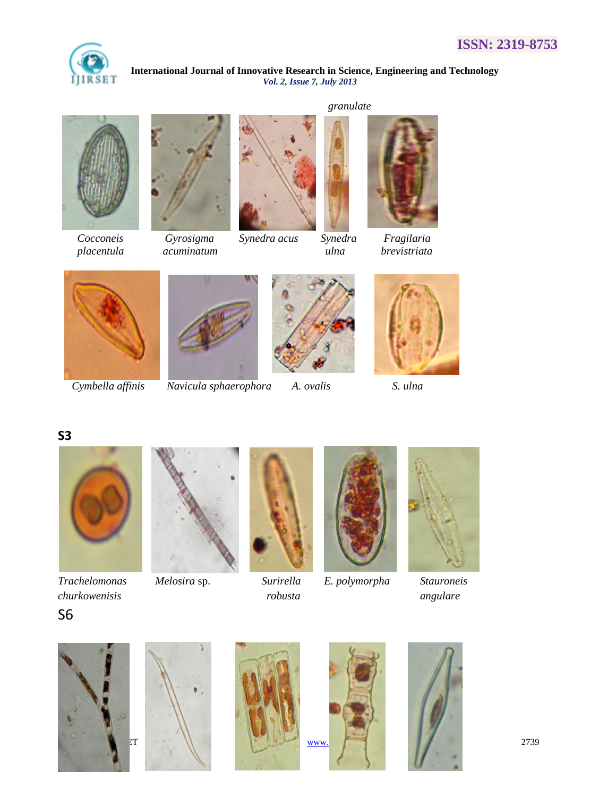











 *placentula acuminatum ulna brevistriata*









 *Cymbella affinis Navicula sphaerophora A. ovalis S. ulna*



*Trachelomonas Melosira* sp. *Surirella E. polymorpha Stauroneis*

















**S3**

S6



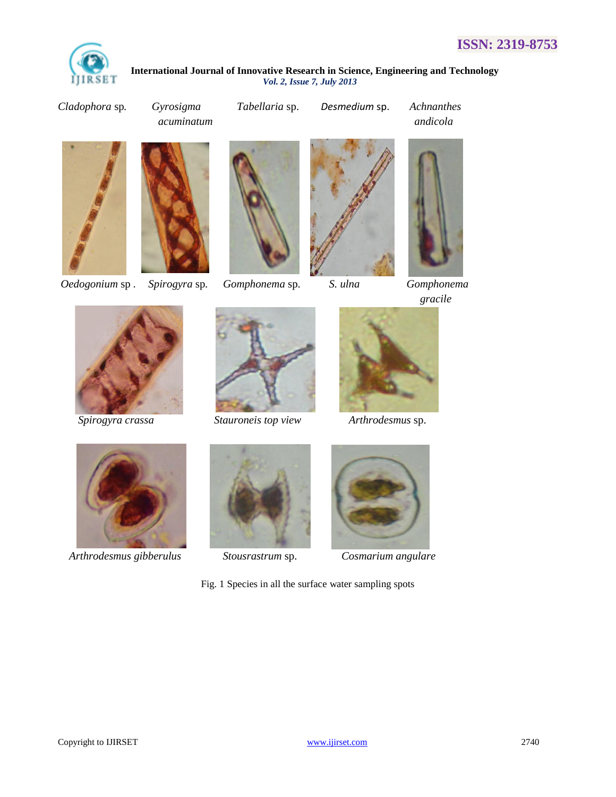

*Cladophora* sp*. Gyrosigma Tabellaria* sp. *Desmedium* sp. *Achnanthes*











*gracile*





*Spirogyra crassa Stauroneis top view Arthrodesmus* sp.





 *Arthrodesmus gibberulus Stousrastrum* sp. *Cosmarium angulare*





Fig. 1 Species in all the surface water sampling spots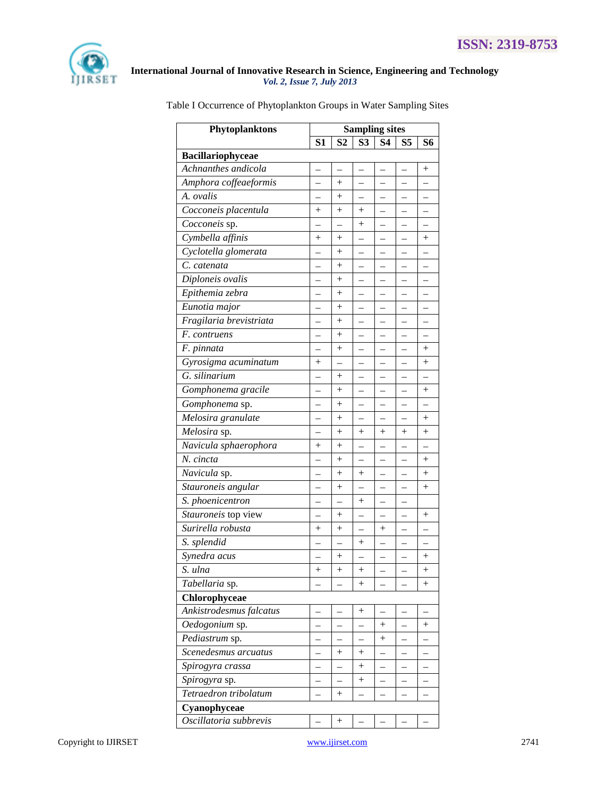

| Phytoplanktons          | <b>Sampling sites</b> |                    |                          |                          |                          |                    |  |
|-------------------------|-----------------------|--------------------|--------------------------|--------------------------|--------------------------|--------------------|--|
|                         | S <sub>1</sub>        | S <sub>2</sub>     | S <sub>3</sub>           | S4                       | S5                       | S6                 |  |
| Bacillariophyceae       |                       |                    |                          |                          |                          |                    |  |
| Achnanthes andicola     |                       |                    |                          |                          |                          | $\hspace{0.1mm} +$ |  |
| Amphora coffeaeformis   |                       | $^{+}$             |                          |                          |                          |                    |  |
| A. ovalis               |                       | $+$                |                          | $\overline{\phantom{0}}$ |                          |                    |  |
| Cocconeis placentula    | $\hspace{0.1mm} +$    | $^{+}$             | $\hspace{0.1mm} +$       | $\overline{\phantom{0}}$ | $\overline{\phantom{0}}$ |                    |  |
| Cocconeis sp.           |                       |                    | $^{+}$                   |                          |                          |                    |  |
| Cymbella affinis        | $^{+}$                | $^{+}$             |                          |                          |                          | $^{+}$             |  |
| Cyclotella glomerata    |                       | $^{+}$             |                          |                          |                          |                    |  |
| C. catenata             |                       | $^{+}$             |                          |                          |                          |                    |  |
| Diploneis ovalis        |                       | $^+$               |                          |                          |                          |                    |  |
| Epithemia zebra         |                       | $^{+}$             | —                        |                          |                          |                    |  |
| Eunotia major           | $\overline{a}$        | $\! +$             | $\overline{\phantom{0}}$ | $\overline{\phantom{0}}$ | $\overline{\phantom{0}}$ |                    |  |
| Fragilaria brevistriata |                       | $^{+}$             |                          |                          |                          |                    |  |
| F. contruens            |                       | $^{+}$             |                          |                          |                          |                    |  |
| F. pinnata              |                       | $\! +$             |                          |                          |                          | $^{+}$             |  |
| Gyrosigma acuminatum    | $^{+}$                |                    |                          |                          |                          | $+$                |  |
| G. silinarium           |                       | $^{+}$             |                          |                          |                          |                    |  |
| Gomphonema gracile      |                       | $^{+}$             |                          |                          |                          | $^{+}$             |  |
| Gomphonema sp.          |                       | $^{+}$             | $\overline{\phantom{0}}$ | $\overline{\phantom{0}}$ | $\overline{\phantom{0}}$ |                    |  |
| Melosira granulate      |                       | $^{+}$             |                          |                          |                          | $^{+}$             |  |
| Melosira sp.            |                       | $^{+}$             | $^{+}$                   | $^{+}$                   | $^{+}$                   | $+$                |  |
| Navicula sphaerophora   | $\hspace{0.1mm} +$    | $^{+}$             |                          |                          |                          |                    |  |
| N. cincta               |                       | $^{+}$             |                          |                          |                          | $^{+}$             |  |
| Navicula sp.            |                       | $\hspace{0.1mm} +$ | $\hspace{0.1mm} +$       |                          |                          | $\hspace{0.1mm} +$ |  |
| Stauroneis angular      |                       | $^{+}$             |                          |                          |                          | $^{+}$             |  |
| S. phoenicentron        |                       |                    | $\hspace{0.1mm} +$       |                          |                          |                    |  |
| Stauroneis top view     |                       | $^{+}$             |                          |                          |                          | $^{+}$             |  |
| Surirella robusta       | $^{+}$                | $^{+}$             |                          | $^{+}$                   |                          |                    |  |
| S. splendid             |                       |                    | $\hspace{0.1mm} +$       | $\overline{\phantom{0}}$ |                          |                    |  |
| Synedra acus            |                       | $^{+}$             |                          |                          |                          | $^{+}$             |  |
| S. ulna                 | $^{+}$                | $+$                | $^{+}$                   |                          |                          | $^{+}$             |  |
| Tabellaria sp.          |                       |                    | $^{+}$                   |                          |                          | $\hspace{0.1mm} +$ |  |
| Chlorophyceae           |                       |                    |                          |                          |                          |                    |  |
| Ankistrodesmus falcatus |                       |                    | $\hspace{0.1mm} +$       |                          |                          |                    |  |
| Oedogonium sp.          |                       |                    |                          | $\hspace{0.1mm} +$       |                          | $^{+}$             |  |
| Pediastrum sp.          |                       |                    |                          | $^{+}$                   |                          |                    |  |
| Scenedesmus arcuatus    |                       | $^{+}$             | $^{+}$                   |                          |                          |                    |  |
| Spirogyra crassa        |                       |                    | $^{+}$                   |                          |                          |                    |  |
| Spirogyra sp.           |                       |                    | $^{+}$                   |                          |                          |                    |  |
| Tetraedron tribolatum   |                       | $^{+}$             |                          |                          |                          |                    |  |
| Cyanophyceae            |                       |                    |                          |                          |                          |                    |  |
| Oscillatoria subbrevis  |                       | $\! +$             |                          |                          |                          |                    |  |

Table I Occurrence of Phytoplankton Groups in Water Sampling Sites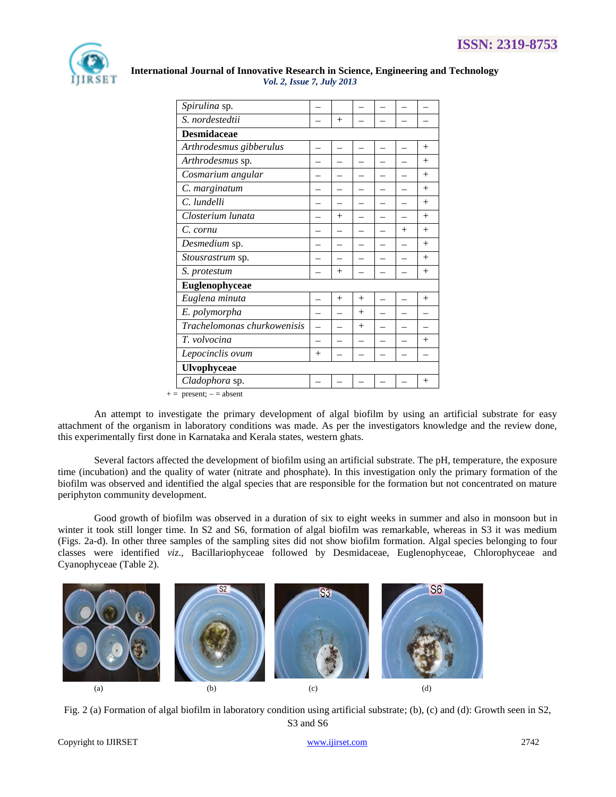

| Spirulina sp.               |        |        |        |  |        |        |  |  |
|-----------------------------|--------|--------|--------|--|--------|--------|--|--|
| S. nordestedtii             |        | $+$    |        |  |        |        |  |  |
| <b>Desmidaceae</b>          |        |        |        |  |        |        |  |  |
| Arthrodesmus gibberulus     |        |        |        |  |        | $^{+}$ |  |  |
| Arthrodesmus sp.            |        |        |        |  |        | $+$    |  |  |
| Cosmarium angular           |        |        |        |  |        | $^{+}$ |  |  |
| C. marginatum               |        |        |        |  |        | $+$    |  |  |
| C. lundelli                 |        |        |        |  |        | $+$    |  |  |
| Closterium lunata           |        | $^{+}$ |        |  |        | $+$    |  |  |
| C. cornu                    |        |        |        |  | $^{+}$ | $^{+}$ |  |  |
| Desmedium sp.               |        |        |        |  |        | $^{+}$ |  |  |
| Stousrastrum sp.            |        |        |        |  |        | $+$    |  |  |
| S. protestum                |        | $^{+}$ |        |  |        | $+$    |  |  |
| Euglenophyceae              |        |        |        |  |        |        |  |  |
| Euglena minuta              |        | $^{+}$ | $+$    |  |        | $^{+}$ |  |  |
| E. polymorpha               |        |        | $+$    |  |        |        |  |  |
| Trachelomonas churkowenisis |        |        | $^{+}$ |  |        |        |  |  |
| T. volvocina                |        |        |        |  |        | $^{+}$ |  |  |
| Lepocinclis ovum            | $^{+}$ |        |        |  |        |        |  |  |
| <b>Ulvophyceae</b>          |        |        |        |  |        |        |  |  |
| Cladophora sp.              |        |        |        |  |        | $^{+}$ |  |  |

An attempt to investigate the primary development of algal biofilm by using an artificial substrate for easy attachment of the organism in laboratory conditions was made. As per the investigators knowledge and the review done, this experimentally first done in Karnataka and Kerala states, western ghats.

Several factors affected the development of biofilm using an artificial substrate. The pH, temperature, the exposure time (incubation) and the quality of water (nitrate and phosphate). In this investigation only the primary formation of the biofilm was observed and identified the algal species that are responsible for the formation but not concentrated on mature periphyton community development.

Good growth of biofilm was observed in a duration of six to eight weeks in summer and also in monsoon but in winter it took still longer time. In S2 and S6, formation of algal biofilm was remarkable, whereas in S3 it was medium (Figs. 2a-d). In other three samples of the sampling sites did not show biofilm formation. Algal species belonging to four classes were identified *viz*., Bacillariophyceae followed by Desmidaceae, Euglenophyceae, Chlorophyceae and Cyanophyceae (Table 2).



Fig. 2 (a) Formation of algal biofilm in laboratory condition using artificial substrate; (b), (c) and (d): Growth seen in S2, S3 and S6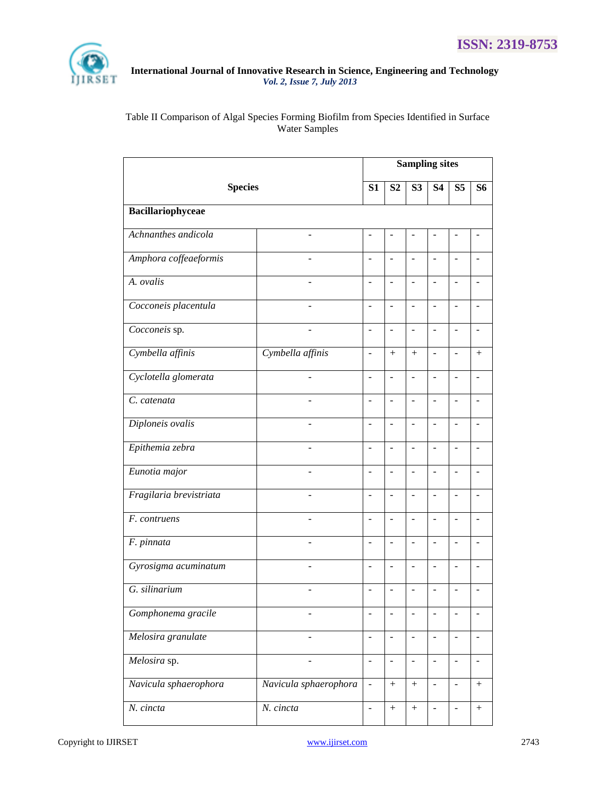

# Table II Comparison of Algal Species Forming Biofilm from Species Identified in Surface Water Samples

| <b>Species</b>          |                          | <b>Sampling sites</b>    |                          |                          |                          |                          |                          |  |
|-------------------------|--------------------------|--------------------------|--------------------------|--------------------------|--------------------------|--------------------------|--------------------------|--|
|                         |                          | S1                       | S <sub>2</sub>           | S <sub>3</sub>           | <b>S4</b>                | S <sub>5</sub>           | S6                       |  |
| Bacillariophyceae       |                          |                          |                          |                          |                          |                          |                          |  |
| Achnanthes andicola     |                          | ä,                       |                          |                          |                          |                          |                          |  |
| Amphora coffeaeformis   |                          | ÷,                       | $\overline{a}$           | $\overline{a}$           | $\overline{a}$           | $\overline{\phantom{a}}$ |                          |  |
| A. ovalis               |                          |                          | ÷,                       | $\overline{a}$           | ÷                        | $\overline{a}$           |                          |  |
| Cocconeis placentula    |                          | $\overline{a}$           | $\overline{a}$           | ÷,                       | $\overline{a}$           | $\overline{a}$           |                          |  |
| Cocconeis sp.           |                          | $\overline{a}$           | $\overline{a}$           | ÷,                       | $\overline{a}$           | $\overline{a}$           |                          |  |
| Cymbella affinis        | Cymbella affinis         | ÷,                       | $+$                      | $+$                      | ÷,                       | $\overline{\phantom{a}}$ | $+$                      |  |
| Cyclotella glomerata    | $\overline{a}$           | $\overline{a}$           | $\overline{\phantom{a}}$ | $\overline{\phantom{a}}$ | $\frac{1}{2}$            | $\overline{a}$           |                          |  |
| C. catenata             |                          | $\overline{\phantom{a}}$ | $\overline{\phantom{a}}$ | $\blacksquare$           | ÷,                       | $\blacksquare$           |                          |  |
| Diploneis ovalis        | $\overline{\phantom{0}}$ | $\overline{\phantom{a}}$ | $\overline{\phantom{a}}$ | $\overline{\phantom{a}}$ | $\overline{a}$           | $\overline{\phantom{a}}$ | $\overline{\phantom{a}}$ |  |
| Epithemia zebra         |                          | $\overline{a}$           | $\overline{a}$           | $\overline{\phantom{a}}$ | $\overline{a}$           | $\overline{\phantom{a}}$ |                          |  |
| Eunotia major           | L.                       | ÷,                       | $\overline{a}$           | ÷,                       | ÷,                       | $\overline{\phantom{m}}$ | $\overline{a}$           |  |
| Fragilaria brevistriata | ÷,                       | $\overline{a}$           | $\overline{a}$           | $\overline{a}$           | ÷,                       | $\overline{a}$           |                          |  |
| F. contruens            | $\overline{a}$           | $\overline{\phantom{a}}$ | $\sim$                   | $\overline{a}$           | ÷,                       | $\blacksquare$           |                          |  |
| F. pinnata              |                          | $\overline{a}$           | $\sim$                   | $\overline{a}$           | ÷,                       | $\overline{\phantom{a}}$ |                          |  |
| Gyrosigma acuminatum    |                          | ٠                        | $\overline{a}$           | ÷,                       | ÷                        | $\overline{a}$           |                          |  |
| G. silinarium           |                          |                          |                          |                          |                          |                          |                          |  |
| Gomphonema gracile      |                          |                          |                          |                          |                          |                          |                          |  |
| Melosira granulate      |                          | $\overline{a}$           | $\blacksquare$           | $\overline{\phantom{a}}$ | ÷,                       | $\blacksquare$           | $\blacksquare$           |  |
| Melosira sp.            | ÷                        | $\frac{1}{2}$            | $\Box$                   | $\blacksquare$           | $\frac{1}{2}$            | $\overline{a}$           | $\blacksquare$           |  |
| Navicula sphaerophora   | Navicula sphaerophora    | $\frac{1}{2}$            | $^{+}$                   | $^{+}$                   | $\frac{1}{2}$            | $\blacksquare$           | $^{+}$                   |  |
| N. cincta               | N. cincta                | $\overline{\phantom{m}}$ | $\boldsymbol{+}$         | $\boldsymbol{+}$         | $\overline{\phantom{0}}$ | $\overline{\phantom{a}}$ | $^{+}$                   |  |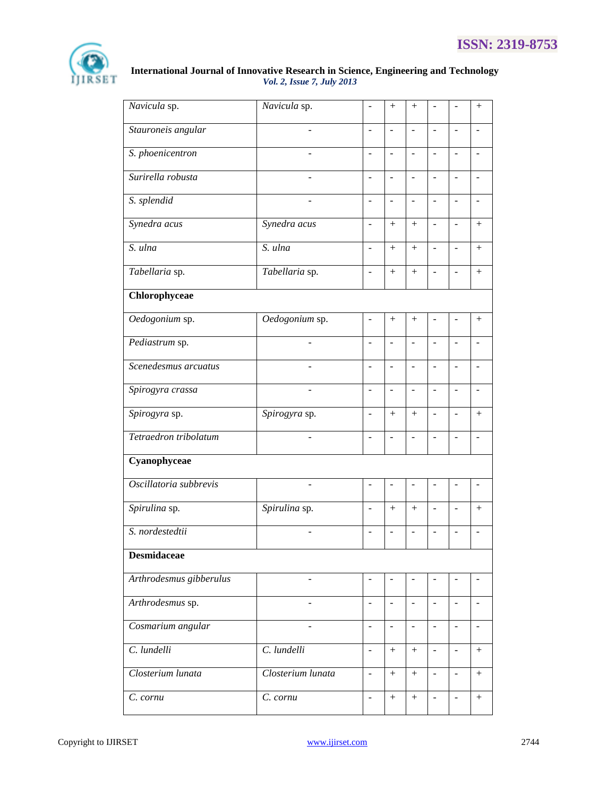

| Navicula sp.                   | Navicula sp.      | $\overline{a}$           | $^{+}$                   | $^{+}$                   | ÷                            | $\overline{a}$           | $^{+}$                   |
|--------------------------------|-------------------|--------------------------|--------------------------|--------------------------|------------------------------|--------------------------|--------------------------|
| Stauroneis angular             |                   | ÷,                       | $\overline{\phantom{a}}$ | $\sim$                   | ÷                            | ÷,                       |                          |
| $\overline{S}$ . phoenicentron |                   | ÷,                       | $\overline{a}$           | $\sim$                   | $\blacksquare$               | $\overline{\phantom{a}}$ |                          |
| Surirella robusta              |                   | L.                       | $\overline{a}$           |                          | $\blacksquare$               | $\blacksquare$           |                          |
| S. splendid                    |                   | ÷,                       | $\overline{a}$           |                          |                              | $\overline{a}$           |                          |
| Synedra acus                   | Synedra acus      | $\overline{a}$           | $^{+}$                   | $+$                      | ÷,                           | $\overline{a}$           | $^{+}$                   |
| S. ulna                        | S. ulna           | $\overline{a}$           |                          | $+$                      | $\overline{a}$               | $\Box$                   | $+$                      |
| Tabellaria sp.                 | Tabellaria sp.    | ÷,                       |                          | $^{+}$                   | $\qquad \qquad \blacksquare$ | $\overline{a}$           | $^{+}$                   |
| Chlorophyceae                  |                   |                          |                          |                          |                              |                          |                          |
| Oedogonium sp.                 | Oedogonium sp.    | ÷,                       | $\boldsymbol{+}$         |                          |                              | $\overline{\phantom{0}}$ | $^{+}$                   |
| Pediastrum sp.                 | ÷                 | $\overline{a}$           | $\blacksquare$           | $\overline{\phantom{a}}$ | $\overline{\phantom{a}}$     | $\overline{a}$           |                          |
| Scenedesmus arcuatus           |                   | $\overline{a}$           | $\blacksquare$           | $\overline{\phantom{a}}$ | $\overline{a}$               | $\overline{a}$           |                          |
| Spirogyra crassa               | ÷,                | $\overline{a}$           | $\overline{a}$           | $\overline{\phantom{a}}$ | ÷,                           | $\frac{1}{2}$            | $\overline{a}$           |
| Spirogyra sp.                  | Spirogyra sp.     | $\overline{a}$           | $^{+}$                   | $^{+}$                   | ÷                            | $\overline{a}$           | $^{+}$                   |
| Tetraedron tribolatum          | ÷,                | ÷,                       | $\blacksquare$           |                          |                              | ÷,                       |                          |
| Cyanophyceae                   |                   |                          |                          |                          |                              |                          |                          |
| Oscillatoria subbrevis         |                   | ä,                       | $\overline{\phantom{a}}$ |                          |                              | $\overline{a}$           |                          |
| Spirulina sp.                  | Spirulina sp.     | $\overline{a}$           | $+$                      | $+$                      | ÷,                           | $\overline{a}$           | $+$                      |
| S. nordestedtii                |                   | $\overline{a}$           | $\overline{a}$           | $\overline{a}$           | L.                           | $\overline{a}$           |                          |
| <b>Desmidaceae</b>             |                   |                          |                          |                          |                              |                          |                          |
| Arthrodesmus gibberulus        | ÷.                | $\overline{\phantom{a}}$ | $\blacksquare$           |                          |                              | $\blacksquare$           | ÷.                       |
| Arthrodesmus sp.               | ÷                 | $\overline{\phantom{a}}$ | $\blacksquare$           | $\overline{\phantom{a}}$ | $\overline{\phantom{a}}$     | $\blacksquare$           | $\overline{\phantom{a}}$ |
| Cosmarium angular              | ÷,                | $\overline{\phantom{m}}$ | $\blacksquare$           | $\overline{\phantom{a}}$ | $\overline{\phantom{a}}$     | $\overline{\phantom{a}}$ | $\overline{\phantom{a}}$ |
| C. lundelli                    | C. lundelli       | $\blacksquare$           | $^{+}$                   | $^{+}$                   | $\blacksquare$               | $\Box$                   | $^{+}$                   |
| Closterium lunata              | Closterium lunata | $\frac{1}{2}$            | $^{+}$                   |                          | $\frac{1}{2}$                | $\overline{\phantom{a}}$ |                          |
| C. cornu                       | C. cornu          | $\overline{\phantom{m}}$ | $\boldsymbol{+}$         | $^{+}$                   | $\blacksquare$               | $\overline{\phantom{a}}$ | $^{+}$                   |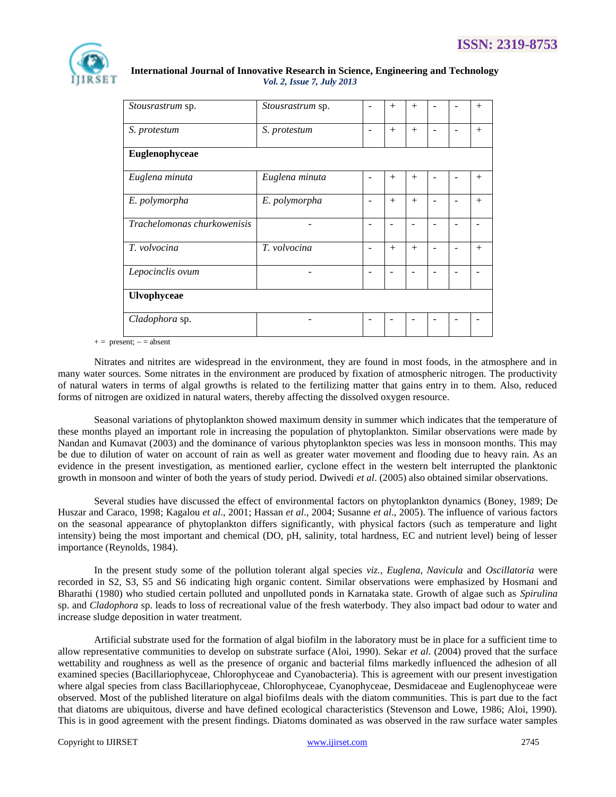

| Stousrastrum sp.            | Stousrastrum sp. |  | $^{+}$ | $+$    |  |  | $+$    |  |
|-----------------------------|------------------|--|--------|--------|--|--|--------|--|
| S. protestum                | S. protestum     |  | $+$    | $^{+}$ |  |  | $+$    |  |
| Euglenophyceae              |                  |  |        |        |  |  |        |  |
| Euglena minuta              | Euglena minuta   |  | $^{+}$ | $^{+}$ |  |  | $^{+}$ |  |
| E. polymorpha               | E. polymorpha    |  | $+$    | $+$    |  |  | $+$    |  |
| Trachelomonas churkowenisis |                  |  |        |        |  |  |        |  |
| T. volvocina                | T. volvocina     |  | $+$    | $+$    |  |  | $+$    |  |
| Lepocinclis ovum            |                  |  |        |        |  |  |        |  |
| Ulvophyceae                 |                  |  |        |        |  |  |        |  |
| Cladophora sp.              |                  |  |        |        |  |  |        |  |

 $+=$  present;  $=$  = absent

Nitrates and nitrites are widespread in the environment, they are found in most foods, in the atmosphere and in many water sources. Some nitrates in the environment are produced by fixation of atmospheric nitrogen. The productivity of natural waters in terms of algal growths is related to the fertilizing matter that gains entry in to them. Also, reduced forms of nitrogen are oxidized in natural waters, thereby affecting the dissolved oxygen resource.

Seasonal variations of phytoplankton showed maximum density in summer which indicates that the temperature of these months played an important role in increasing the population of phytoplankton. Similar observations were made by Nandan and Kumavat (2003) and the dominance of various phytoplankton species was less in monsoon months. This may be due to dilution of water on account of rain as well as greater water movement and flooding due to heavy rain. As an evidence in the present investigation, as mentioned earlier, cyclone effect in the western belt interrupted the planktonic growth in monsoon and winter of both the years of study period. Dwivedi *et al*. (2005) also obtained similar observations.

Several studies have discussed the effect of [environmental factors](http://www.scialert.net/asci/result.php?searchin=Keywords&cat=&ascicat=ALL&Submit=Search&keyword=environmental+factors) on phytoplankton dynamics [\(Boney, 1989;](http://scialert.net/fulltext/?doi=jfas.2011.130.140&org=10#56005_b) [De](http://scialert.net/fulltext/?doi=jfas.2011.130.140&org=10#545804_ja)  [Huszar and Caraco, 1998;](http://scialert.net/fulltext/?doi=jfas.2011.130.140&org=10#545804_ja) [Kagalou](http://scialert.net/fulltext/?doi=jfas.2011.130.140&org=10#545811_ja) *et al*., 2001[; Hassan](http://scialert.net/fulltext/?doi=jfas.2011.130.140&org=10#556059_ja) *et al*., 2004; [Susanne](http://scialert.net/fulltext/?doi=jfas.2011.130.140&org=10#545874_ja) *et al*., 2005). The influence of various factors on the seasonal appearance of phytoplankton differs significantly, with physical factors (such as temperature and light intensity) being the most important and chemical (DO, pH, salinity, total hardness, EC and nutrient level) being of lesser importance [\(Reynolds, 1984\)](http://scialert.net/fulltext/?doi=jfas.2011.130.140&org=10#260768_ja).

In the present study some of the pollution tolerant algal species *viz., Euglena, Navicula* and *Oscillatoria* were recorded in S2, S3, S5 and S6 indicating high organic content. Similar observations were emphasized by Hosmani and Bharathi (1980) who studied certain polluted and unpolluted ponds in Karnataka state. Growth of algae such as *Spirulina* sp. and *Cladophora* sp. leads to loss of recreational value of the fresh waterbody. They also impact bad odour to water and increase sludge deposition in water treatment.

Artificial substrate used for the formation of algal biofilm in the laboratory must be in place for a sufficient time to allow representative communities to develop on substrate surface (Aloi, 1990). Sekar *et al*. (2004) proved that the surface wettability and roughness as well as the presence of organic and bacterial films markedly influenced the adhesion of all examined species (Bacillariophyceae, Chlorophyceae and Cyanobacteria). This is agreement with our present investigation where algal species from class Bacillariophyceae, Chlorophyceae, Cyanophyceae, Desmidaceae and Euglenophyceae were observed. Most of the published literature on algal biofilms deals with the diatom communities. This is part due to the fact that diatoms are ubiquitous, diverse and have defined ecological characteristics (Stevenson and Lowe, 1986; Aloi, 1990). This is in good agreement with the present findings. Diatoms dominated as was observed in the raw surface water samples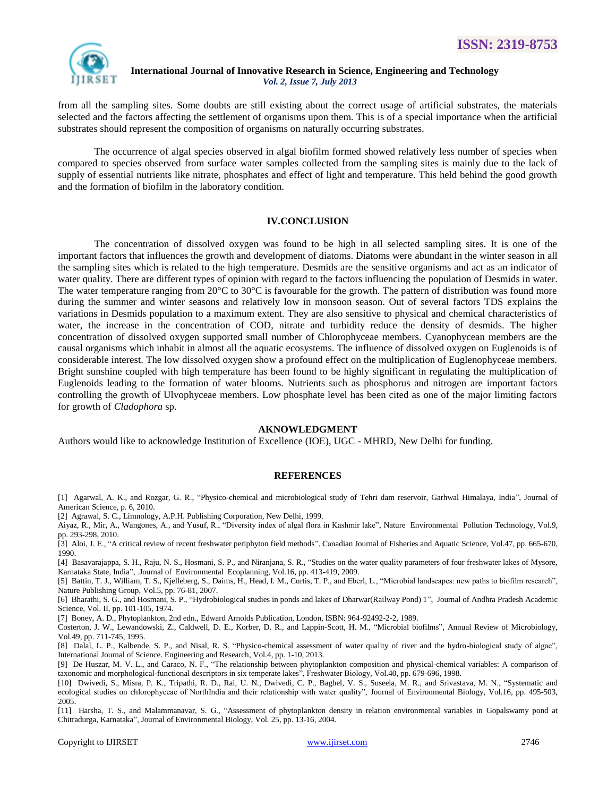

from all the sampling sites. Some doubts are still existing about the correct usage of artificial substrates, the materials selected and the factors affecting the settlement of organisms upon them. This is of a special importance when the artificial substrates should represent the composition of organisms on naturally occurring substrates.

The occurrence of algal species observed in algal biofilm formed showed relatively less number of species when compared to species observed from surface water samples collected from the sampling sites is mainly due to the lack of supply of essential nutrients like nitrate, phosphates and effect of light and temperature. This held behind the good growth and the formation of biofilm in the laboratory condition.

## **IV.CONCLUSION**

The concentration of dissolved oxygen was found to be high in all selected sampling sites. It is one of the important factors that influences the growth and development of diatoms. Diatoms were abundant in the winter season in all the sampling sites which is related to the high temperature. Desmids are the sensitive organisms and act as an indicator of water quality. There are different types of opinion with regard to the factors influencing the population of Desmids in water. The water temperature ranging from  $20^{\circ}$ C to  $30^{\circ}$ C is favourable for the growth. The pattern of distribution was found more during the summer and winter seasons and relatively low in monsoon season. Out of several factors TDS explains the variations in Desmids population to a maximum extent. They are also sensitive to physical and chemical characteristics of water, the increase in the concentration of COD, nitrate and turbidity reduce the density of desmids. The higher concentration of dissolved oxygen supported small number of Chlorophyceae members. Cyanophycean members are the causal organisms which inhabit in almost all the aquatic ecosystems. The influence of dissolved oxygen on Euglenoids is of considerable interest. The low dissolved oxygen show a profound effect on the multiplication of Euglenophyceae members. Bright sunshine coupled with high temperature has been found to be highly significant in regulating the multiplication of Euglenoids leading to the formation of water blooms. Nutrients such as phosphorus and nitrogen are important factors controlling the growth of Ulvophyceae members. Low phosphate level has been cited as one of the major limiting factors for growth of *Cladophora* sp.

#### **AKNOWLEDGMENT**

Authors would like to acknowledge Institution of Excellence (IOE), UGC - MHRD, New Delhi for funding.

#### **REFERENCES**

[1] Agarwal, A. K., and Rozgar, G. R., "Physico-chemical and microbiological study of Tehri dam reservoir, Garhwal Himalaya, India", Journal of American Science, p. 6, 2010.

[2] Agrawal, S. C., Limnology, A.P.H. Publishing Corporation, New Delhi, 1999.

Aiyaz, R., Mir, A., Wangones, A., and Yusuf, R., "Diversity index of algal flora in Kashmir lake", Nature Environmental Pollution Technology*,* Vol.9, pp. 293-298, 2010.

[3] Aloi, J. E., "A critical review of recent freshwater periphyton field methods", Canadian Journal of Fisheries and Aquatic Science, Vol.47, pp. 665-670, 1990.

[4] Basavarajappa, S. H., Raju, N. S., Hosmani, S. P., and Niranjana, S. R., "Studies on the water quality parameters of four freshwater lakes of Mysore, Karnataka State, India", .Journal of Environmental Ecoplanning*,* Vol.16, pp. 413-419, 2009.

[5] Battin, T. J., William, T. S., Kjelleberg, S., Daims, H., Head, I. M., Curtis, T. P., and Eberl, L., "Microbial landscapes: new paths to biofilm research", Nature Publishing Group, Vol.5, pp. 76-81, 2007.

[6] Bharathi, S. G., and Hosmani, S. P., "Hydrobiological studies in ponds and lakes of Dharwar(Railway Pond) 1", Journal of Andhra Pradesh Academic Science, Vol. II, pp. 101-105, 1974.

[7] Boney, A. D., Phytoplankton, 2nd edn., Edward Arnolds Publication, London, ISBN: 964-92492-2-2, 1989.

Costerton, J. W., Lewandowski, Z., Caldwell, D. E., Korber, D. R., and Lappin-Scott, H. M., "Microbial biofilms", Annual Review of Microbiology, Vol.49, pp. 711-745, 1995.

[8] Dalal, L. P., Kalbende, S. P., and Nisal, R. S. "Physico-chemical assessment of water quality of river and the hydro-biological study of algae", International Journal of Science. Engineering and Research, Vol.4, pp. 1-10, 2013.

[9] De Huszar, M. V. L., and Caraco, N. F., "The relationship between phytoplankton composition and physical-chemical variables: A comparison of taxonomic and morphological-functional descriptors in six temperate lakes", Freshwater Biology, Vol.40, pp. 679-696, 1998.

[10] Dwivedi, S., Misra, P. K., Tripathi, R. D., Rai, U. N., Dwivedi, C. P., Baghel, V. S., Suseela, M. R., and Srivastava, M. N., "Systematic and ecological studies on chlorophyceae of NorthIndia and their relationship with water quality", Journal of Environmental Biology, Vol.16, pp. 495-503, 2005.

[11] Harsha, T. S., and Malammanavar, S. G., "Assessment of phytoplankton density in relation environmental variables in Gopalswamy pond at Chitradurga, Karnataka", Journal of Environmental Biology, Vol. 25, pp. 13-16, 2004.